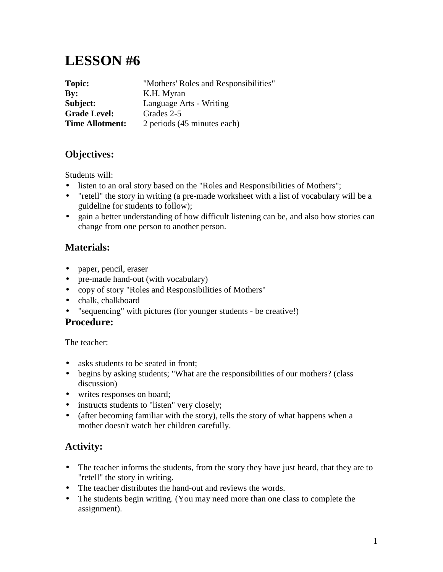# **LESSON #6**

| Topic:                 | "Mothers' Roles and Responsibilities" |
|------------------------|---------------------------------------|
| Bv:                    | K.H. Myran                            |
| Subject:               | Language Arts - Writing               |
| <b>Grade Level:</b>    | Grades 2-5                            |
| <b>Time Allotment:</b> | 2 periods (45 minutes each)           |

# **Objectives:**

Students will:

- listen to an oral story based on the "Roles and Responsibilities of Mothers";
- "retell" the story in writing (a pre-made worksheet with a list of vocabulary will be a guideline for students to follow);
- gain a better understanding of how difficult listening can be, and also how stories can change from one person to another person.

## **Materials:**

- paper, pencil, eraser
- pre-made hand-out (with vocabulary)
- copy of story "Roles and Responsibilities of Mothers"
- chalk, chalkboard
- "sequencing" with pictures (for younger students be creative!)

#### **Procedure:**

The teacher:

- asks students to be seated in front;
- begins by asking students; "What are the responsibilities of our mothers? (class discussion)
- writes responses on board;
- instructs students to "listen" very closely;
- (after becoming familiar with the story), tells the story of what happens when a mother doesn't watch her children carefully.

## **Activity:**

- The teacher informs the students, from the story they have just heard, that they are to "retell" the story in writing.
- The teacher distributes the hand-out and reviews the words.
- The students begin writing. (You may need more than one class to complete the assignment).